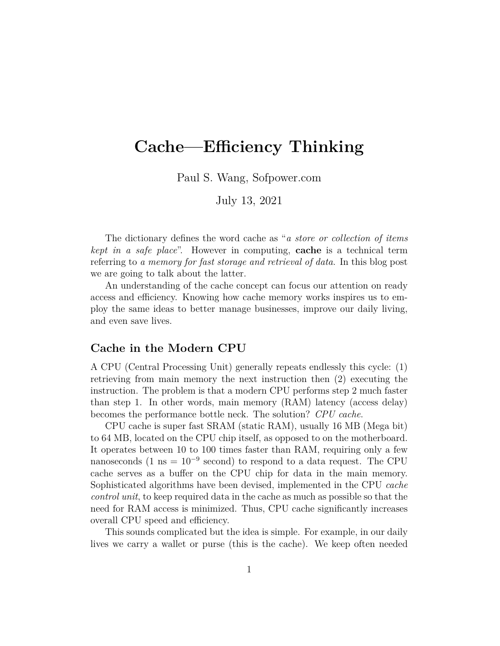# **Cache—Efficiency Thinking**

Paul S. Wang, Sofpower.com

July 13, 2021

The dictionary defines the word cache as "*a store or collection of items kept in a safe place*". However in computing, **cache** is a technical term referring to *a memory for fast storage and retrieval of data*. In this blog post we are going to talk about the latter.

An understanding of the cache concept can focus our attention on ready access and efficiency. Knowing how cache memory works inspires us to employ the same ideas to better manage businesses, improve our daily living, and even save lives.

## **Cache in the Modern CPU**

A CPU (Central Processing Unit) generally repeats endlessly this cycle: (1) retrieving from main memory the next instruction then (2) executing the instruction. The problem is that a modern CPU performs step 2 much faster than step 1. In other words, main memory (RAM) latency (access delay) becomes the performance bottle neck. The solution? *CPU cache*.

CPU cache is super fast SRAM (static RAM), usually 16 MB (Mega bit) to 64 MB, located on the CPU chip itself, as opposed to on the motherboard. It operates between 10 to 100 times faster than RAM, requiring only a few nanoseconds (1 ns = 10*−*<sup>9</sup> second) to respond to a data request. The CPU cache serves as a buffer on the CPU chip for data in the main memory. Sophisticated algorithms have been devised, implemented in the CPU *cache control unit*, to keep required data in the cache as much as possible so that the need for RAM access is minimized. Thus, CPU cache significantly increases overall CPU speed and efficiency.

This sounds complicated but the idea is simple. For example, in our daily lives we carry a wallet or purse (this is the cache). We keep often needed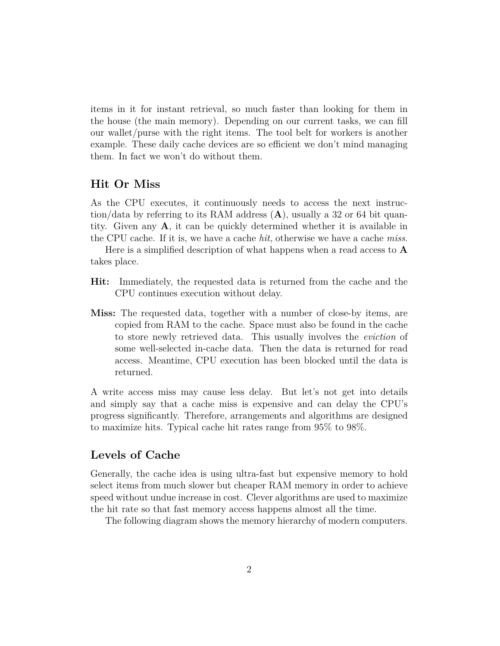items in it for instant retrieval, so much faster than looking for them in the house (the main memory). Depending on our current tasks, we can fill our wallet/purse with the right items. The tool belt for workers is another example. These daily cache devices are so efficient we don't mind managing them. In fact we won't do without them.

## **Hit Or Miss**

As the CPU executes, it continuously needs to access the next instruction/data by referring to its RAM address (**A**), usually a 32 or 64 bit quantity. Given any **A**, it can be quickly determined whether it is available in the CPU cache. If it is, we have a cache *hit*, otherwise we have a cache *miss*.

Here is a simplified description of what happens when a read access to **A** takes place.

- **Hit:** Immediately, the requested data is returned from the cache and the CPU continues execution without delay.
- **Miss:** The requested data, together with a number of close-by items, are copied from RAM to the cache. Space must also be found in the cache to store newly retrieved data. This usually involves the *eviction* of some well-selected in-cache data. Then the data is returned for read access. Meantime, CPU execution has been blocked until the data is returned.

A write access miss may cause less delay. But let's not get into details and simply say that a cache miss is expensive and can delay the CPU's progress significantly. Therefore, arrangements and algorithms are designed to maximize hits. Typical cache hit rates range from 95% to 98%.

# **Levels of Cache**

Generally, the cache idea is using ultra-fast but expensive memory to hold select items from much slower but cheaper RAM memory in order to achieve speed without undue increase in cost. Clever algorithms are used to maximize the hit rate so that fast memory access happens almost all the time.

The following diagram shows the memory hierarchy of modern computers.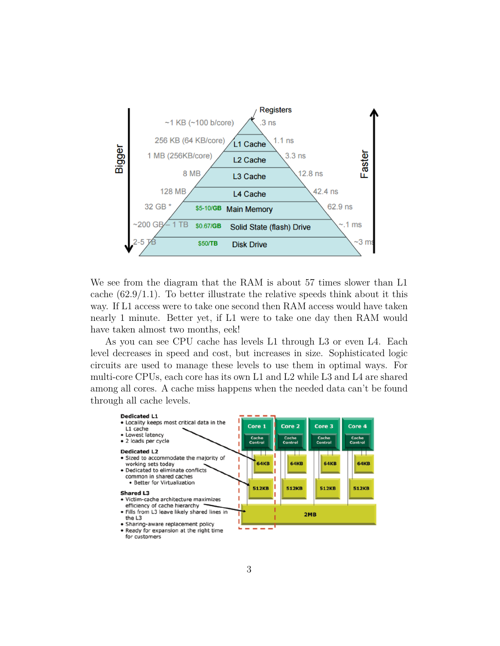

We see from the diagram that the RAM is about 57 times slower than L1 cache  $(62.9/1.1)$ . To better illustrate the relative speeds think about it this way. If L1 access were to take one second then RAM access would have taken nearly 1 minute. Better yet, if L1 were to take one day then RAM would have taken almost two months, eek!

As you can see CPU cache has levels L1 through L3 or even L4. Each level decreases in speed and cost, but increases in size. Sophisticated logic circuits are used to manage these levels to use them in optimal ways. For multi-core CPUs, each core has its own L1 and L2 while L3 and L4 are shared among all cores. A cache miss happens when the needed data can't be found through all cache levels.

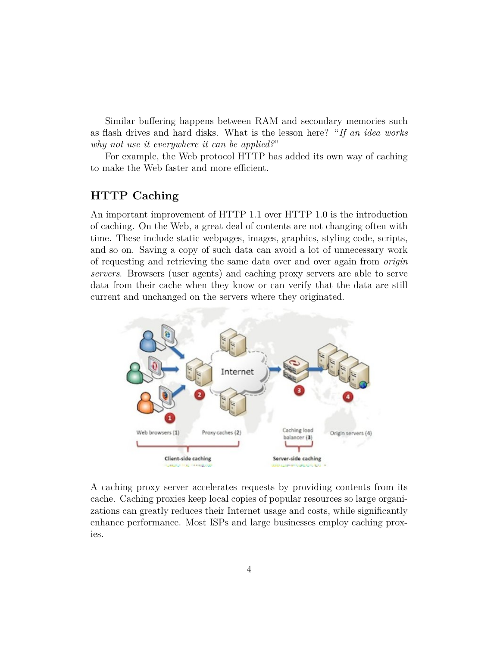Similar buffering happens between RAM and secondary memories such as flash drives and hard disks. What is the lesson here? "*If an idea works why not use it everywhere it can be applied?*"

For example, the Web protocol HTTP has added its own way of caching to make the Web faster and more efficient.

# **HTTP Caching**

An important improvement of HTTP 1.1 over HTTP 1.0 is the introduction of caching. On the Web, a great deal of contents are not changing often with time. These include static webpages, images, graphics, styling code, scripts, and so on. Saving a copy of such data can avoid a lot of unnecessary work of requesting and retrieving the same data over and over again from *origin servers*. Browsers (user agents) and caching proxy servers are able to serve data from their cache when they know or can verify that the data are still current and unchanged on the servers where they originated.



A caching proxy server accelerates requests by providing contents from its cache. Caching proxies keep local copies of popular resources so large organizations can greatly reduces their Internet usage and costs, while significantly enhance performance. Most ISPs and large businesses employ caching proxies.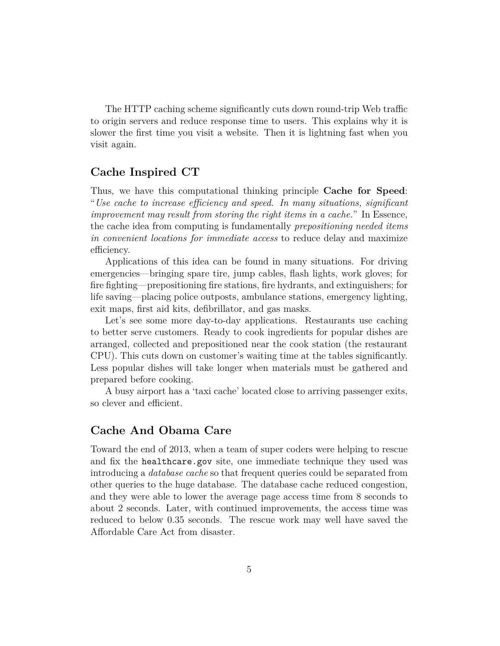The HTTP caching scheme significantly cuts down round-trip Web traffic to origin servers and reduce response time to users. This explains why it is slower the first time you visit a website. Then it is lightning fast when you visit again.

# **Cache Inspired CT**

Thus, we have this computational thinking principle **Cache for Speed**: "*Use cache to increase efficiency and speed. In many situations, significant improvement may result from storing the right items in a cache.*" In Essence, the cache idea from computing is fundamentally *prepositioning needed items in convenient locations for immediate access* to reduce delay and maximize efficiency.

Applications of this idea can be found in many situations. For driving emergencies—bringing spare tire, jump cables, flash lights, work gloves; for fire fighting—prepositioning fire stations, fire hydrants, and extinguishers; for life saving—placing police outposts, ambulance stations, emergency lighting, exit maps, first aid kits, defibrillator, and gas masks.

Let's see some more day-to-day applications. Restaurants use caching to better serve customers. Ready to cook ingredients for popular dishes are arranged, collected and prepositioned near the cook station (the restaurant CPU). This cuts down on customer's waiting time at the tables significantly. Less popular dishes will take longer when materials must be gathered and prepared before cooking.

A busy airport has a 'taxi cache' located close to arriving passenger exits, so clever and efficient.

## **Cache And Obama Care**

Toward the end of 2013, when a team of super coders were helping to rescue and fix the healthcare.gov site, one immediate technique they used was introducing a *database cache* so that frequent queries could be separated from other queries to the huge database. The database cache reduced congestion, and they were able to lower the average page access time from 8 seconds to about 2 seconds. Later, with continued improvements, the access time was reduced to below 0.35 seconds. The rescue work may well have saved the Affordable Care Act from disaster.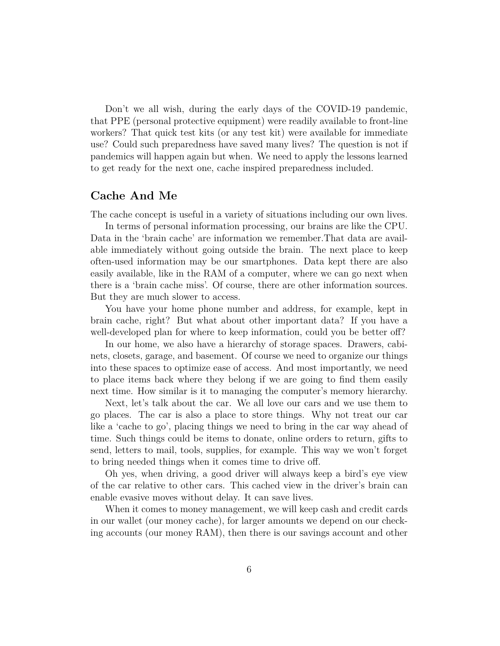Don't we all wish, during the early days of the COVID-19 pandemic, that PPE (personal protective equipment) were readily available to front-line workers? That quick test kits (or any test kit) were available for immediate use? Could such preparedness have saved many lives? The question is not if pandemics will happen again but when. We need to apply the lessons learned to get ready for the next one, cache inspired preparedness included.

## **Cache And Me**

The cache concept is useful in a variety of situations including our own lives.

In terms of personal information processing, our brains are like the CPU. Data in the 'brain cache' are information we remember.That data are available immediately without going outside the brain. The next place to keep often-used information may be our smartphones. Data kept there are also easily available, like in the RAM of a computer, where we can go next when there is a 'brain cache miss'. Of course, there are other information sources. But they are much slower to access.

You have your home phone number and address, for example, kept in brain cache, right? But what about other important data? If you have a well-developed plan for where to keep information, could you be better off?

In our home, we also have a hierarchy of storage spaces. Drawers, cabinets, closets, garage, and basement. Of course we need to organize our things into these spaces to optimize ease of access. And most importantly, we need to place items back where they belong if we are going to find them easily next time. How similar is it to managing the computer's memory hierarchy.

Next, let's talk about the car. We all love our cars and we use them to go places. The car is also a place to store things. Why not treat our car like a 'cache to go', placing things we need to bring in the car way ahead of time. Such things could be items to donate, online orders to return, gifts to send, letters to mail, tools, supplies, for example. This way we won't forget to bring needed things when it comes time to drive off.

Oh yes, when driving, a good driver will always keep a bird's eye view of the car relative to other cars. This cached view in the driver's brain can enable evasive moves without delay. It can save lives.

When it comes to money management, we will keep cash and credit cards in our wallet (our money cache), for larger amounts we depend on our checking accounts (our money RAM), then there is our savings account and other